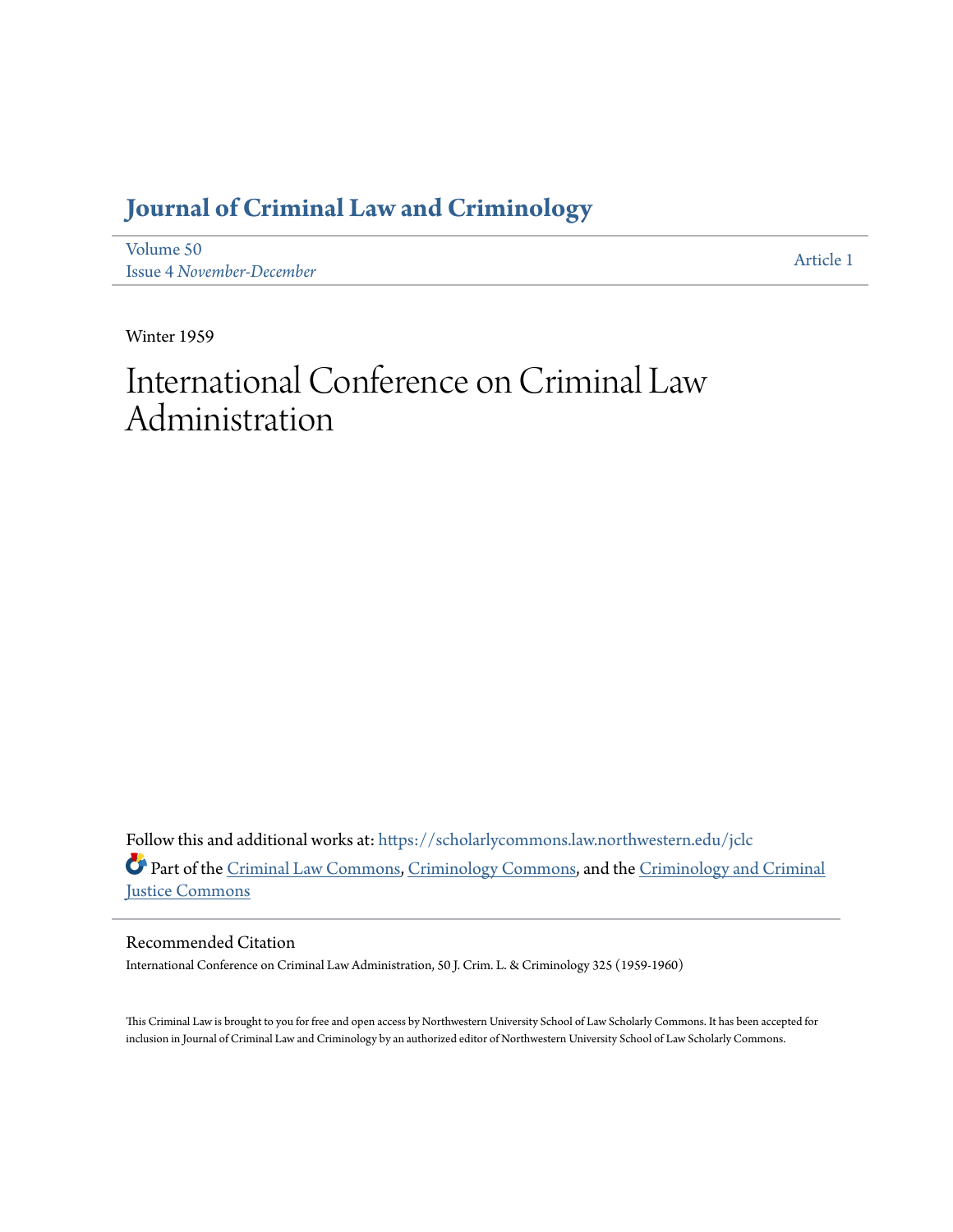## **[Journal of Criminal Law and Criminology](https://scholarlycommons.law.northwestern.edu/jclc?utm_source=scholarlycommons.law.northwestern.edu%2Fjclc%2Fvol50%2Fiss4%2F1&utm_medium=PDF&utm_campaign=PDFCoverPages)**

[Volume 50](https://scholarlycommons.law.northwestern.edu/jclc/vol50?utm_source=scholarlycommons.law.northwestern.edu%2Fjclc%2Fvol50%2Fiss4%2F1&utm_medium=PDF&utm_campaign=PDFCoverPages) Issue 4 *[November-December](https://scholarlycommons.law.northwestern.edu/jclc/vol50/iss4?utm_source=scholarlycommons.law.northwestern.edu%2Fjclc%2Fvol50%2Fiss4%2F1&utm_medium=PDF&utm_campaign=PDFCoverPages)*

[Article 1](https://scholarlycommons.law.northwestern.edu/jclc/vol50/iss4/1?utm_source=scholarlycommons.law.northwestern.edu%2Fjclc%2Fvol50%2Fiss4%2F1&utm_medium=PDF&utm_campaign=PDFCoverPages)

Winter 1959

# International Conference on Criminal Law Administration

Follow this and additional works at: [https://scholarlycommons.law.northwestern.edu/jclc](https://scholarlycommons.law.northwestern.edu/jclc?utm_source=scholarlycommons.law.northwestern.edu%2Fjclc%2Fvol50%2Fiss4%2F1&utm_medium=PDF&utm_campaign=PDFCoverPages) Part of the [Criminal Law Commons](http://network.bepress.com/hgg/discipline/912?utm_source=scholarlycommons.law.northwestern.edu%2Fjclc%2Fvol50%2Fiss4%2F1&utm_medium=PDF&utm_campaign=PDFCoverPages), [Criminology Commons](http://network.bepress.com/hgg/discipline/417?utm_source=scholarlycommons.law.northwestern.edu%2Fjclc%2Fvol50%2Fiss4%2F1&utm_medium=PDF&utm_campaign=PDFCoverPages), and the [Criminology and Criminal](http://network.bepress.com/hgg/discipline/367?utm_source=scholarlycommons.law.northwestern.edu%2Fjclc%2Fvol50%2Fiss4%2F1&utm_medium=PDF&utm_campaign=PDFCoverPages) [Justice Commons](http://network.bepress.com/hgg/discipline/367?utm_source=scholarlycommons.law.northwestern.edu%2Fjclc%2Fvol50%2Fiss4%2F1&utm_medium=PDF&utm_campaign=PDFCoverPages)

Recommended Citation

International Conference on Criminal Law Administration, 50 J. Crim. L. & Criminology 325 (1959-1960)

This Criminal Law is brought to you for free and open access by Northwestern University School of Law Scholarly Commons. It has been accepted for inclusion in Journal of Criminal Law and Criminology by an authorized editor of Northwestern University School of Law Scholarly Commons.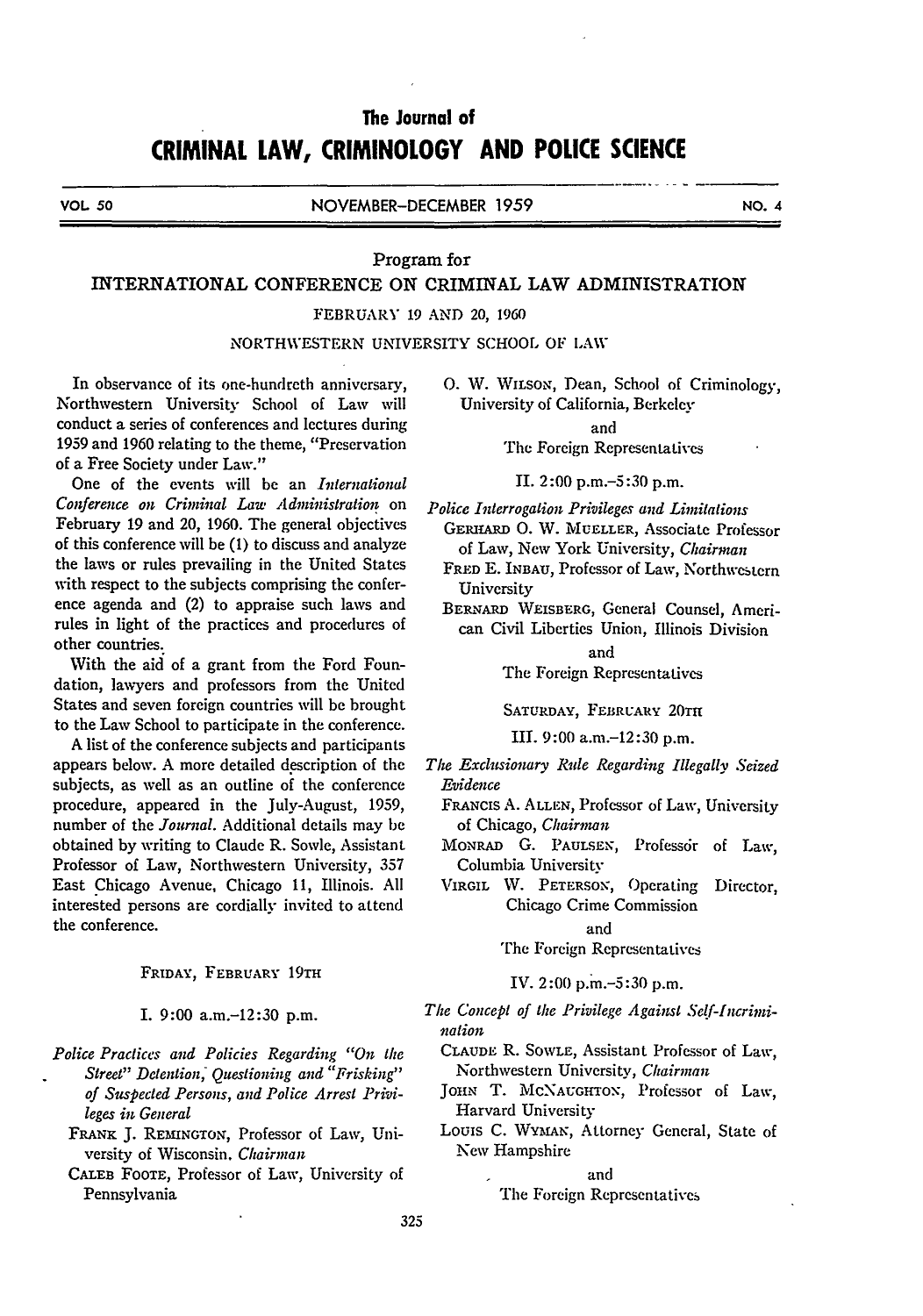### **The Journal of CRIMINAL LAW, CRIMINOLOGY AND POLICE SCIENCE**

**VOL 50**

#### NOVEMBER-DECEMBER **1959 NO. 4**

#### Program for

#### INTERNATIONAL CONFERENCE ON CRIMINAL LAW ADMINISTRATION

#### FEBRUARY 19 AND 20, 1960

#### NORTHWESTERN UNIVERSITY SCHOOL OF LAW

In observance of its one-hundreth anniversary, Northwestern University School of Law will conduct a series of conferences and lectures during 1959 and 1960 relating to the theme, "Preservation of a Free Society under Law."

One of the events will be an *International Conference on Criminal Law Administration* on February 19 and 20, 1960. The general objectives of this conference will be **(1)** to discuss and analyze the laws or rules prevailing in the United States with respect to the subjects comprising the conference agenda and (2) to appraise such laws and rules in light of the practices and procedures of other countries.

With the aid of a grant from the Ford Foundation, lawyers and professors from the United States and seven foreign countries will be brought to the Law School to participate in the conference.

A list of the conference subjects and participants appears below. A more detailed description of the subjects, as well as an outline of the conference procedure, appeared in the July-August, 1959, number of the *Journal.* Additional details may **be** obtained by writing to Claude R. Sowle, Assistant Professor of Law, Northwestern University, 357 East Chicago Avenue, Chicago 11, Illinois. All interested persons are cordially invited to attend the conference.

#### FRIDAY, FEBRUARY 19TH

#### I. 9:00 a.m.-12:30 p.m.

- *Police Practices and Policies Regarding "On the Street" Delention, Questioning and "Frisking" of Suspected Persons, and Police Arrest Privileges in General*
	- FRANK J. REMINGTON, Professor of Law, University of Wisconsin. *Chairman*
	- **CALEB** FOOTE, Professor of Law, University of Pennsylvania

**0.** W. WIrsoN, Dean, School of Criminology, University of California, Berkeley

and

The Foreign Representatives

#### II. 2:00 p.m.-5:30 p.m.

*Police Interrogation Privileges and Limitations*

- GERHARD O. W. MUELLER, Associate Professor of Law, New York University, *Chairman*
	- FRED E. INBAU, Professor of Law, Northwestern University
	- BERNARD WRISBERG, General Counsel, American Civil Liberties Union, Illinois Division

and

The Foreign Representatives

SATURDAY, FEBRUARY 20TH

**lI1. 9:00** a.m.-12:30 p.m.

- *The Exclusionary Rule Regarding Illegally Seized Evidence*
	- FRANCIS A. ALLEN, Professor of Law, University of Chicago, *Chairman*
	- MONRAD G. PAULSEN, Professor of Law, Columbia University
	- VIRGIL W. PETERSON, Operating Director, Chicago Crime Commission

and

**The** Foreign Representatives

IV. 2:00 p.m.-5:30 p.m.

- *The Concept of the Privilege Against Self-Incrimination*
	- CLAUDE R. SOWLE, Assistant Professor of Law, Northwestern University, *Chairman*
	- *JOHN* T. MCNAUGHTON, Professor of Law, Harvard University
	- Louis C. *WYMAN,* Attorney General, State of New Hampshire

#### and

The Foreign Representatives